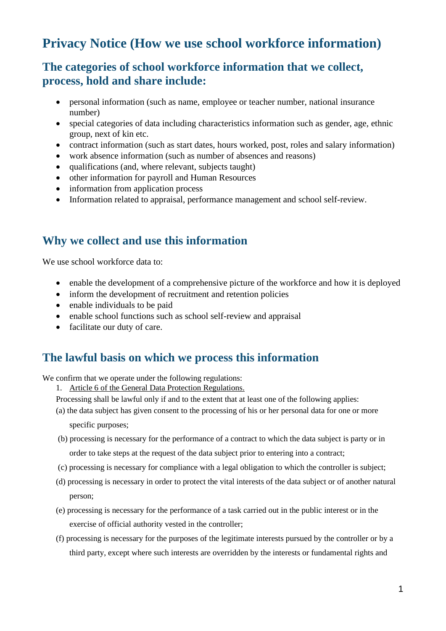# **Privacy Notice (How we use school workforce information)**

#### **The categories of school workforce information that we collect, process, hold and share include:**

- personal information (such as name, employee or teacher number, national insurance number)
- special categories of data including characteristics information such as gender, age, ethnic group, next of kin etc.
- contract information (such as start dates, hours worked, post, roles and salary information)
- work absence information (such as number of absences and reasons)
- qualifications (and, where relevant, subjects taught)
- other information for payroll and Human Resources
- information from application process
- Information related to appraisal, performance management and school self-review.

#### **Why we collect and use this information**

We use school workforce data to:

- enable the development of a comprehensive picture of the workforce and how it is deployed
- inform the development of recruitment and retention policies
- enable individuals to be paid
- enable school functions such as school self-review and appraisal
- facilitate our duty of care.

#### **The lawful basis on which we process this information**

We confirm that we operate under the following regulations:

- 1. Article 6 of the General Data Protection Regulations.
- Processing shall be lawful only if and to the extent that at least one of the following applies:
- (a) the data subject has given consent to the processing of his or her personal data for one or more specific purposes;
- (b) processing is necessary for the performance of a contract to which the data subject is party or in order to take steps at the request of the data subject prior to entering into a contract;
- (c) processing is necessary for compliance with a legal obligation to which the controller is subject;
- (d) processing is necessary in order to protect the vital interests of the data subject or of another natural person;
- (e) processing is necessary for the performance of a task carried out in the public interest or in the exercise of official authority vested in the controller;
- (f) processing is necessary for the purposes of the legitimate interests pursued by the controller or by a third party, except where such interests are overridden by the interests or fundamental rights and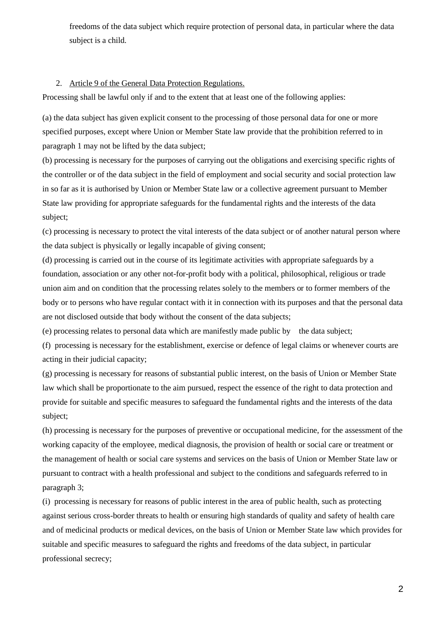freedoms of the data subject which require protection of personal data, in particular where the data subject is a child.

#### 2. Article 9 of the General Data Protection Regulations.

Processing shall be lawful only if and to the extent that at least one of the following applies:

(a) the data subject has given explicit consent to the processing of those personal data for one or more specified purposes, except where Union or Member State law provide that the prohibition referred to in paragraph 1 may not be lifted by the data subject;

(b) processing is necessary for the purposes of carrying out the obligations and exercising specific rights of the controller or of the data subject in the field of employment and social security and social protection law in so far as it is authorised by Union or Member State law or a collective agreement pursuant to Member State law providing for appropriate safeguards for the fundamental rights and the interests of the data subject;

(c) processing is necessary to protect the vital interests of the data subject or of another natural person where the data subject is physically or legally incapable of giving consent;

(d) processing is carried out in the course of its legitimate activities with appropriate safeguards by a foundation, association or any other not-for-profit body with a political, philosophical, religious or trade union aim and on condition that the processing relates solely to the members or to former members of the body or to persons who have regular contact with it in connection with its purposes and that the personal data are not disclosed outside that body without the consent of the data subjects;

(e) processing relates to personal data which are manifestly made public by the data subject;

(f) processing is necessary for the establishment, exercise or defence of legal claims or whenever courts are acting in their judicial capacity;

(g) processing is necessary for reasons of substantial public interest, on the basis of Union or Member State law which shall be proportionate to the aim pursued, respect the essence of the right to data protection and provide for suitable and specific measures to safeguard the fundamental rights and the interests of the data subject;

(h) processing is necessary for the purposes of preventive or occupational medicine, for the assessment of the working capacity of the employee, medical diagnosis, the provision of health or social care or treatment or the management of health or social care systems and services on the basis of Union or Member State law or pursuant to contract with a health professional and subject to the conditions and safeguards referred to in paragraph 3;

(i) processing is necessary for reasons of public interest in the area of public health, such as protecting against serious cross-border threats to health or ensuring high standards of quality and safety of health care and of medicinal products or medical devices, on the basis of Union or Member State law which provides for suitable and specific measures to safeguard the rights and freedoms of the data subject, in particular professional secrecy;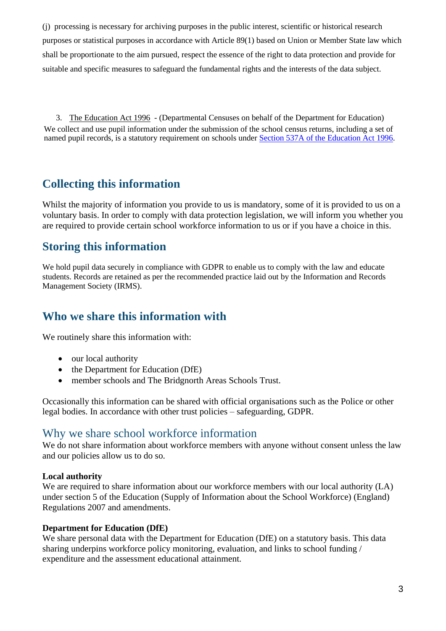(j) processing is necessary for archiving purposes in the public interest, scientific or historical research purposes or statistical purposes in accordance with Article 89(1) based on Union or Member State law which shall be proportionate to the aim pursued, respect the essence of the right to data protection and provide for suitable and specific measures to safeguard the fundamental rights and the interests of the data subject.

3. The Education Act 1996 - (Departmental Censuses on behalf of the Department for Education) We collect and use pupil information under the submission of the school census returns, including a set of named pupil records, is a statutory requirement on schools under Section 537A of the [Education](http://www.legislation.gov.uk/ukpga/1996/56/section/537A) Act 1996.

## **Collecting this information**

Whilst the majority of information you provide to us is mandatory, some of it is provided to us on a voluntary basis. In order to comply with data protection legislation, we will inform you whether you are required to provide certain school workforce information to us or if you have a choice in this.

## **Storing this information**

We hold pupil data securely in compliance with GDPR to enable us to comply with the law and educate students. Records are retained as per the recommended practice laid out by the Information and Records Management Society (IRMS).

## **Who we share this information with**

We routinely share this information with:

- our local authority
- the Department for Education (DfE)
- member schools and The Bridgnorth Areas Schools Trust.

Occasionally this information can be shared with official organisations such as the Police or other legal bodies. In accordance with other trust policies – safeguarding, GDPR.

#### Why we share school workforce information

We do not share information about workforce members with anyone without consent unless the law and our policies allow us to do so.

#### **Local authority**

We are required to share information about our workforce members with our local authority (LA) under section 5 of the Education (Supply of Information about the School Workforce) (England) Regulations 2007 and amendments.

#### **Department for Education (DfE)**

We share personal data with the Department for Education (DfE) on a statutory basis. This data sharing underpins workforce policy monitoring, evaluation, and links to school funding / expenditure and the assessment educational attainment.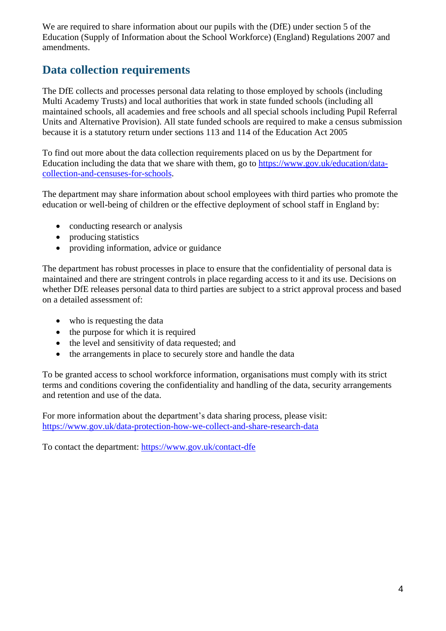We are required to share information about our pupils with the (DfE) under section 5 of the Education (Supply of Information about the School Workforce) (England) Regulations 2007 and amendments.

## **Data collection requirements**

The DfE collects and processes personal data relating to those employed by schools (including Multi Academy Trusts) and local authorities that work in state funded schools (including all maintained schools, all academies and free schools and all special schools including Pupil Referral Units and Alternative Provision). All state funded schools are required to make a census submission because it is a statutory return under sections 113 and 114 of the Education Act 2005

To find out more about the data collection requirements placed on us by the Department for Education including the data that we share with them, go to [https://www.gov.uk/education/data](https://www.gov.uk/education/data-collection-and-censuses-for-schools)[collection-and-censuses-for-schools.](https://www.gov.uk/education/data-collection-and-censuses-for-schools)

The department may share information about school employees with third parties who promote the education or well-being of children or the effective deployment of school staff in England by:

- conducting research or analysis
- producing statistics
- providing information, advice or guidance

The department has robust processes in place to ensure that the confidentiality of personal data is maintained and there are stringent controls in place regarding access to it and its use. Decisions on whether DfE releases personal data to third parties are subject to a strict approval process and based on a detailed assessment of:

- who is requesting the data
- the purpose for which it is required
- the level and sensitivity of data requested; and
- the arrangements in place to securely store and handle the data

To be granted access to school workforce information, organisations must comply with its strict terms and conditions covering the confidentiality and handling of the data, security arrangements and retention and use of the data.

For more information about the department's data sharing process, please visit: <https://www.gov.uk/data-protection-how-we-collect-and-share-research-data>

To contact the department:<https://www.gov.uk/contact-dfe>